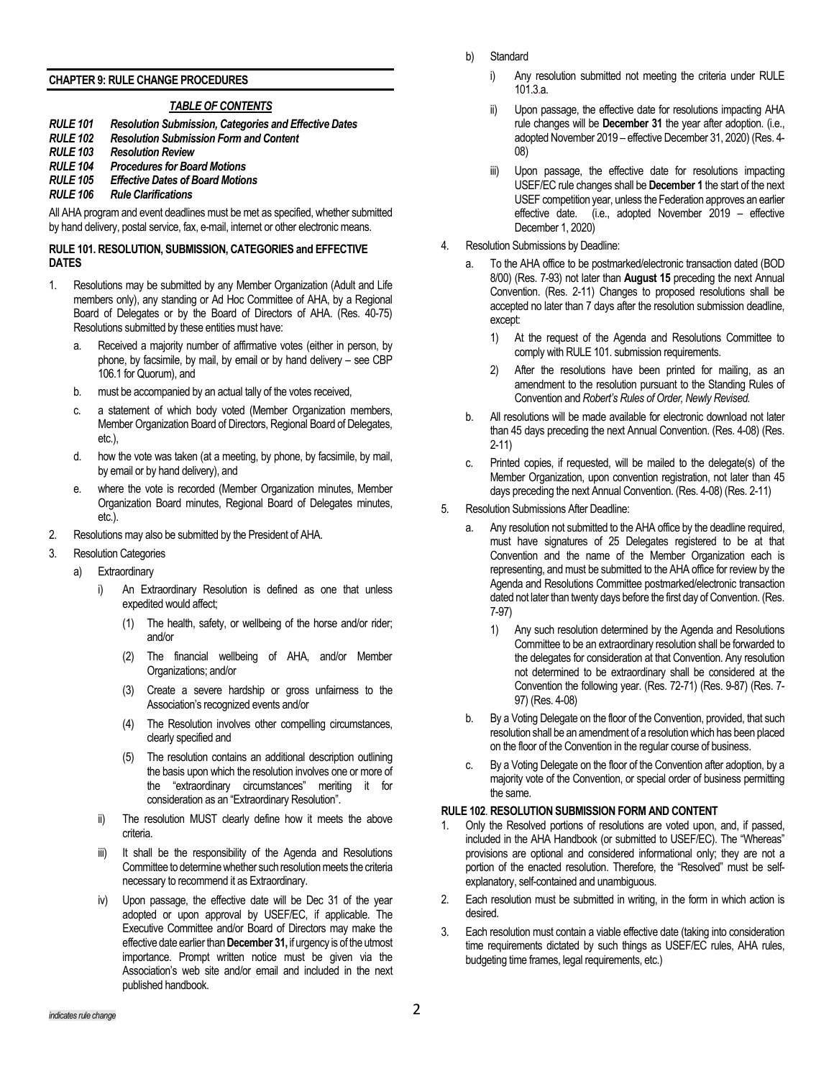#### **CHAPTER 9: RULE CHANGE PROCEDURES**

#### *TABLE OF CONTENTS*

- *RULE 101 Resolution Submission, Categories and Effective Dates*
- *RULE 102 Resolution Submission Form and Content*
- **Resolution Review**
- *RULE 104 Procedures for Board Motions*
- *RULE 105 Effective Dates of Board Motions*

### *RULE 106 Rule Clarifications*

All AHA program and event deadlines must be met as specified, whether submitted by hand delivery, postal service, fax, e-mail, internet or other electronic means.

#### **RULE 101. RESOLUTION, SUBMISSION, CATEGORIES and EFFECTIVE DATES**

- 1. Resolutions may be submitted by any Member Organization (Adult and Life members only), any standing or Ad Hoc Committee of AHA, by a Regional Board of Delegates or by the Board of Directors of AHA. (Res. 40-75) Resolutions submitted by these entities must have:
	- a. Received a majority number of affirmative votes (either in person, by phone, by facsimile, by mail, by email or by hand delivery – see CBP 106.1 for Quorum), and
	- b. must be accompanied by an actual tally of the votes received,
	- c. a statement of which body voted (Member Organization members, Member Organization Board of Directors, Regional Board of Delegates, etc.),
	- d. how the vote was taken (at a meeting, by phone, by facsimile, by mail, by email or by hand delivery), and
	- e. where the vote is recorded (Member Organization minutes, Member Organization Board minutes, Regional Board of Delegates minutes, etc.).
- 2. Resolutions may also be submitted by the President of AHA.
- 3. Resolution Categories
	- a) Extraordinary
		- An Extraordinary Resolution is defined as one that unless expedited would affect;
			- (1) The health, safety, or wellbeing of the horse and/or rider; and/or
			- (2) The financial wellbeing of AHA, and/or Member Organizations; and/or
			- (3) Create a severe hardship or gross unfairness to the Association's recognized events and/or
			- (4) The Resolution involves other compelling circumstances, clearly specified and
			- (5) The resolution contains an additional description outlining the basis upon which the resolution involves one or more of the "extraordinary circumstances" meriting it for consideration as an "Extraordinary Resolution".
		- ii) The resolution MUST clearly define how it meets the above criteria.
		- iii) It shall be the responsibility of the Agenda and Resolutions Committee to determine whether such resolution meets the criteria necessary to recommend it as Extraordinary.
		- iv) Upon passage, the effective date will be Dec 31 of the year adopted or upon approval by USEF/EC, if applicable. The Executive Committee and/or Board of Directors may make the effective date earlier than **December 31,**if urgency is of the utmost importance. Prompt written notice must be given via the Association's web site and/or email and included in the next published handbook.
- b) Standard
	- i) Any resolution submitted not meeting the criteria under RULE 101.3.a.
	- ii) Upon passage, the effective date for resolutions impacting AHA rule changes will be **December 31** the year after adoption. (i.e., adopted November 2019 – effective December 31, 2020) (Res. 4- 08)
	- iii) Upon passage, the effective date for resolutions impacting USEF/EC rule changes shall be **December 1** the start of the next USEF competition year, unless the Federation approves an earlier effective date. (i.e., adopted November 2019 – effective December 1, 2020)
- 4. Resolution Submissions by Deadline:
	- a. To the AHA office to be postmarked/electronic transaction dated (BOD 8/00) (Res. 7-93) not later than **August 15** preceding the next Annual Convention. (Res. 2-11) Changes to proposed resolutions shall be accepted no later than 7 days after the resolution submission deadline, except:
		- 1) At the request of the Agenda and Resolutions Committee to comply with RULE 101. submission requirements.
		- 2) After the resolutions have been printed for mailing, as an amendment to the resolution pursuant to the Standing Rules of Convention and *Robert's Rules of Order, Newly Revised.*
	- b. All resolutions will be made available for electronic download not later than 45 days preceding the next Annual Convention. (Res. 4-08) (Res. 2-11)
	- c. Printed copies, if requested, will be mailed to the delegate(s) of the Member Organization, upon convention registration, not later than 45 days preceding the next Annual Convention. (Res. 4-08) (Res. 2-11)
- 5. Resolution Submissions After Deadline:
	- a. Any resolution not submitted to the AHA office by the deadline required, must have signatures of 25 Delegates registered to be at that Convention and the name of the Member Organization each is representing, and must be submitted to the AHA office for review by the Agenda and Resolutions Committee postmarked/electronic transaction dated not later than twenty days before the first day of Convention. (Res. 7-97)
		- 1) Any such resolution determined by the Agenda and Resolutions Committee to be an extraordinary resolution shall be forwarded to the delegates for consideration at that Convention. Any resolution not determined to be extraordinary shall be considered at the Convention the following year. (Res. 72-71) (Res. 9-87) (Res. 7- 97) (Res. 4-08)
	- b. By a Voting Delegate on the floor of the Convention, provided, that such resolution shall be an amendment of a resolution which has been placed on the floor of the Convention in the regular course of business.
	- c. By a Voting Delegate on the floor of the Convention after adoption, by a majority vote of the Convention, or special order of business permitting the same.

### **RULE 102**. **RESOLUTION SUBMISSION FORM AND CONTENT**

- 1. Only the Resolved portions of resolutions are voted upon, and, if passed, included in the AHA Handbook (or submitted to USEF/EC). The "Whereas" provisions are optional and considered informational only; they are not a portion of the enacted resolution. Therefore, the "Resolved" must be selfexplanatory, self-contained and unambiguous.
- 2. Each resolution must be submitted in writing, in the form in which action is desired.
- 3. Each resolution must contain a viable effective date (taking into consideration time requirements dictated by such things as USEF/EC rules, AHA rules, budgeting time frames, legal requirements, etc.)